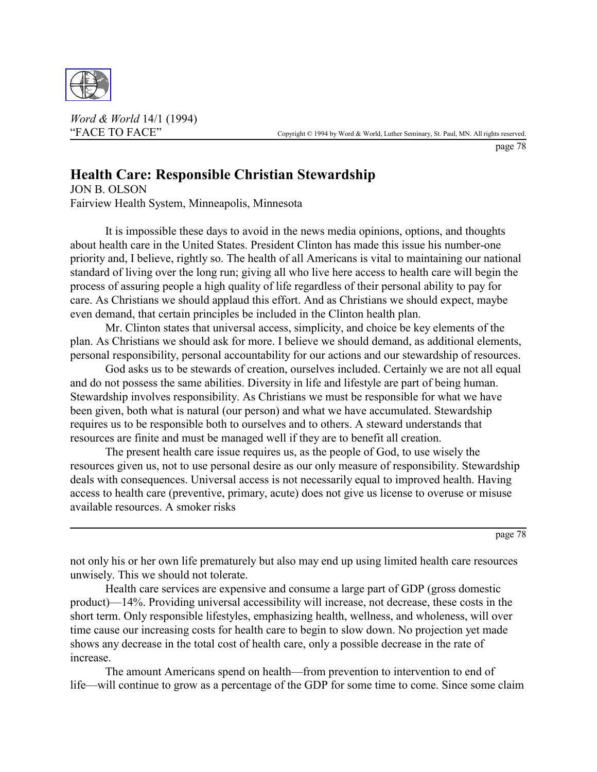

*Word & World* 14/1 (1994)

page 78

## **Health Care: Responsible Christian Stewardship**

JON B. OLSON Fairview Health System, Minneapolis, Minnesota

It is impossible these days to avoid in the news media opinions, options, and thoughts about health care in the United States. President Clinton has made this issue his number-one priority and, I believe, rightly so. The health of all Americans is vital to maintaining our national standard of living over the long run; giving all who live here access to health care will begin the process of assuring people a high quality of life regardless of their personal ability to pay for care. As Christians we should applaud this effort. And as Christians we should expect, maybe even demand, that certain principles be included in the Clinton health plan.

Mr. Clinton states that universal access, simplicity, and choice be key elements of the plan. As Christians we should ask for more. I believe we should demand, as additional elements, personal responsibility, personal accountability for our actions and our stewardship of resources.

God asks us to be stewards of creation, ourselves included. Certainly we are not all equal and do not possess the same abilities. Diversity in life and lifestyle are part of being human. Stewardship involves responsibility. As Christians we must be responsible for what we have been given, both what is natural (our person) and what we have accumulated. Stewardship requires us to be responsible both to ourselves and to others. A steward understands that resources are finite and must be managed well if they are to benefit all creation.

The present health care issue requires us, as the people of God, to use wisely the resources given us, not to use personal desire as our only measure of responsibility. Stewardship deals with consequences. Universal access is not necessarily equal to improved health. Having access to health care (preventive, primary, acute) does not give us license to overuse or misuse available resources. A smoker risks

page 78

not only his or her own life prematurely but also may end up using limited health care resources unwisely. This we should not tolerate.

Health care services are expensive and consume a large part of GDP (gross domestic product)—14%. Providing universal accessibility will increase, not decrease, these costs in the short term. Only responsible lifestyles, emphasizing health, wellness, and wholeness, will over time cause our increasing costs for health care to begin to slow down. No projection yet made shows any decrease in the total cost of health care, only a possible decrease in the rate of increase.

The amount Americans spend on health—from prevention to intervention to end of life—will continue to grow as a percentage of the GDP for some time to come. Since some claim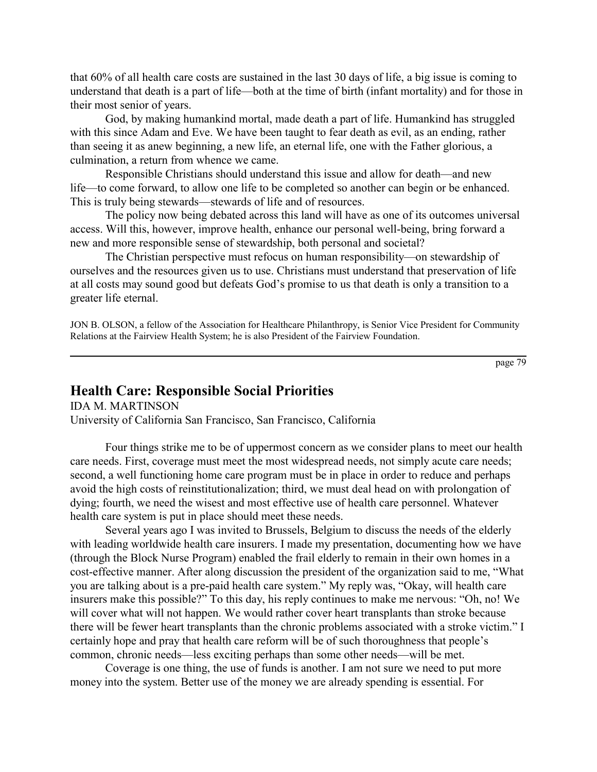that 60% of all health care costs are sustained in the last 30 days of life, a big issue is coming to understand that death is a part of life—both at the time of birth (infant mortality) and for those in their most senior of years.

God, by making humankind mortal, made death a part of life. Humankind has struggled with this since Adam and Eve. We have been taught to fear death as evil, as an ending, rather than seeing it as anew beginning, a new life, an eternal life, one with the Father glorious, a culmination, a return from whence we came.

Responsible Christians should understand this issue and allow for death—and new life—to come forward, to allow one life to be completed so another can begin or be enhanced. This is truly being stewards—stewards of life and of resources.

The policy now being debated across this land will have as one of its outcomes universal access. Will this, however, improve health, enhance our personal well-being, bring forward a new and more responsible sense of stewardship, both personal and societal?

The Christian perspective must refocus on human responsibility—on stewardship of ourselves and the resources given us to use. Christians must understand that preservation of life at all costs may sound good but defeats God's promise to us that death is only a transition to a greater life eternal.

JON B. OLSON, a fellow of the Association for Healthcare Philanthropy, is Senior Vice President for Community Relations at the Fairview Health System; he is also President of the Fairview Foundation.

page 79

## **Health Care: Responsible Social Priorities**

IDA M. MARTINSON University of California San Francisco, San Francisco, California

Four things strike me to be of uppermost concern as we consider plans to meet our health care needs. First, coverage must meet the most widespread needs, not simply acute care needs; second, a well functioning home care program must be in place in order to reduce and perhaps avoid the high costs of reinstitutionalization; third, we must deal head on with prolongation of dying; fourth, we need the wisest and most effective use of health care personnel. Whatever health care system is put in place should meet these needs.

Several years ago I was invited to Brussels, Belgium to discuss the needs of the elderly with leading worldwide health care insurers. I made my presentation, documenting how we have (through the Block Nurse Program) enabled the frail elderly to remain in their own homes in a cost-effective manner. After along discussion the president of the organization said to me, "What you are talking about is a pre-paid health care system." My reply was, "Okay, will health care insurers make this possible?" To this day, his reply continues to make me nervous: "Oh, no! We will cover what will not happen. We would rather cover heart transplants than stroke because there will be fewer heart transplants than the chronic problems associated with a stroke victim." I certainly hope and pray that health care reform will be of such thoroughness that people's common, chronic needs—less exciting perhaps than some other needs—will be met.

Coverage is one thing, the use of funds is another. I am not sure we need to put more money into the system. Better use of the money we are already spending is essential. For